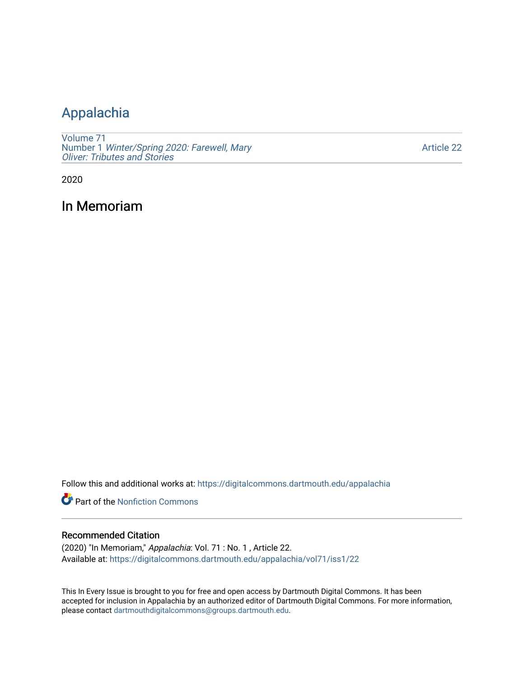## [Appalachia](https://digitalcommons.dartmouth.edu/appalachia)

[Volume 71](https://digitalcommons.dartmouth.edu/appalachia/vol71) Number 1 [Winter/Spring 2020: Farewell, Mary](https://digitalcommons.dartmouth.edu/appalachia/vol71/iss1) [Oliver: Tributes and Stories](https://digitalcommons.dartmouth.edu/appalachia/vol71/iss1) 

[Article 22](https://digitalcommons.dartmouth.edu/appalachia/vol71/iss1/22) 

2020

In Memoriam

Follow this and additional works at: [https://digitalcommons.dartmouth.edu/appalachia](https://digitalcommons.dartmouth.edu/appalachia?utm_source=digitalcommons.dartmouth.edu%2Fappalachia%2Fvol71%2Fiss1%2F22&utm_medium=PDF&utm_campaign=PDFCoverPages)

**Part of the Nonfiction Commons** 

## Recommended Citation

(2020) "In Memoriam," Appalachia: Vol. 71 : No. 1 , Article 22. Available at: [https://digitalcommons.dartmouth.edu/appalachia/vol71/iss1/22](https://digitalcommons.dartmouth.edu/appalachia/vol71/iss1/22?utm_source=digitalcommons.dartmouth.edu%2Fappalachia%2Fvol71%2Fiss1%2F22&utm_medium=PDF&utm_campaign=PDFCoverPages) 

This In Every Issue is brought to you for free and open access by Dartmouth Digital Commons. It has been accepted for inclusion in Appalachia by an authorized editor of Dartmouth Digital Commons. For more information, please contact [dartmouthdigitalcommons@groups.dartmouth.edu](mailto:dartmouthdigitalcommons@groups.dartmouth.edu).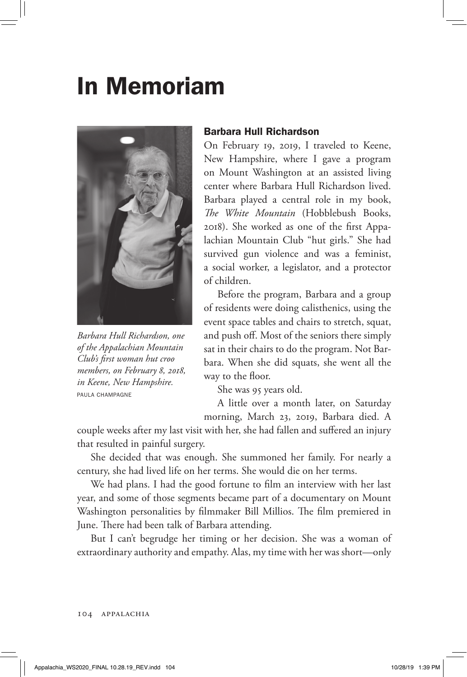## In Memoriam



*Barbara Hull Richardson, one of the Appalachian Mountain Club's first woman hut croo members, on February 8, 2018, in Keene, New Hampshire.*  PAULA CHAMPAGNE

## Barbara Hull Richardson

On February 19, 2019, I traveled to Keene, New Hampshire, where I gave a program on Mount Washington at an assisted living center where Barbara Hull Richardson lived. Barbara played a central role in my book, *The White Mountain* (Hobblebush Books, 2018). She worked as one of the first Appalachian Mountain Club "hut girls." She had survived gun violence and was a feminist, a social worker, a legislator, and a protector of children.

Before the program, Barbara and a group of residents were doing calisthenics, using the event space tables and chairs to stretch, squat, and push off. Most of the seniors there simply sat in their chairs to do the program. Not Barbara. When she did squats, she went all the way to the floor.

She was 95 years old.

A little over a month later, on Saturday morning, March 23, 2019, Barbara died. A

couple weeks after my last visit with her, she had fallen and suffered an injury that resulted in painful surgery.

She decided that was enough. She summoned her family. For nearly a century, she had lived life on her terms. She would die on her terms.

We had plans. I had the good fortune to film an interview with her last year, and some of those segments became part of a documentary on Mount Washington personalities by filmmaker Bill Millios. The film premiered in June. There had been talk of Barbara attending.

But I can't begrudge her timing or her decision. She was a woman of extraordinary authority and empathy. Alas, my time with her was short—only